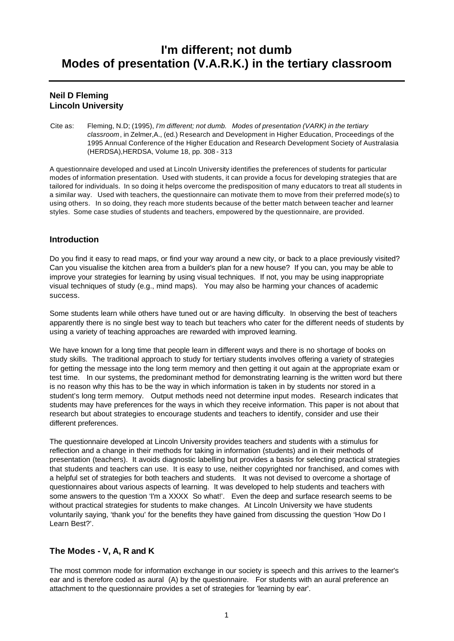# **I'm different; not dumb Modes of presentation (V.A.R.K.) in the tertiary classroom**

# **Neil D Fleming Lincoln University**

Cite as: Fleming, N.D; (1995), *I'm different; not dumb. Modes of presentation (VARK) in the tertiary classroom*, in Zelmer,A., (ed.) Research and Development in Higher Education, Proceedings of the 1995 Annual Conference of the Higher Education and Research Development Society of Australasia (HERDSA),HERDSA, Volume 18, pp. 308 - 313

A questionnaire developed and used at Lincoln University identifies the preferences of students for particular modes of information presentation. Used with students, it can provide a focus for developing strategies that are tailored for individuals. In so doing it helps overcome the predisposition of many educators to treat all students in a similar way. Used with teachers, the questionnaire can motivate them to move from their preferred mode(s) to using others. In so doing, they reach more students because of the better match between teacher and learner styles. Some case studies of students and teachers, empowered by the questionnaire, are provided.

# **Introduction**

Do you find it easy to read maps, or find your way around a new city, or back to a place previously visited? Can you visualise the kitchen area from a builder's plan for a new house? If you can, you may be able to improve your strategies for learning by using visual techniques. If not, you may be using inappropriate visual techniques of study (e.g., mind maps). You may also be harming your chances of academic success.

Some students learn while others have tuned out or are having difficulty. In observing the best of teachers apparently there is no single best way to teach but teachers who cater for the different needs of students by using a variety of teaching approaches are rewarded with improved learning.

We have known for a long time that people learn in different ways and there is no shortage of books on study skills. The traditional approach to study for tertiary students involves offering a variety of strategies for getting the message into the long term memory and then getting it out again at the appropriate exam or test time. In our systems, the predominant method for demonstrating learning is the written word but there is no reason why this has to be the way in which information is taken in by students nor stored in a student's long term memory. Output methods need not determine input modes. Research indicates that students may have preferences for the ways in which they receive information. This paper is not about that research but about strategies to encourage students and teachers to identify, consider and use their different preferences.

The questionnaire developed at Lincoln University provides teachers and students with a stimulus for reflection and a change in their methods for taking in information (students) and in their methods of presentation (teachers). It avoids diagnostic labelling but provides a basis for selecting practical strategies that students and teachers can use. It is easy to use, neither copyrighted nor franchised, and comes with a helpful set of strategies for both teachers and students. It was not devised to overcome a shortage of questionnaires about various aspects of learning. It was developed to help students and teachers with some answers to the question 'I'm a XXXX So what!'. Even the deep and surface research seems to be without practical strategies for students to make changes. At Lincoln University we have students voluntarily saying, 'thank you' for the benefits they have gained from discussing the question 'How Do I Learn Best?'.

## **The Modes - V, A, R and K**

The most common mode for information exchange in our society is speech and this arrives to the learner's ear and is therefore coded as aural (A) by the questionnaire. For students with an aural preference an attachment to the questionnaire provides a set of strategies for 'learning by ear'.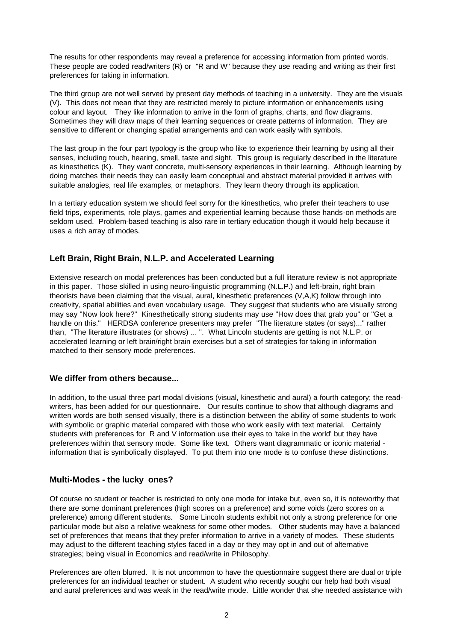The results for other respondents may reveal a preference for accessing information from printed words. These people are coded read/writers (R) or "R and W" because they use reading and writing as their first preferences for taking in information.

The third group are not well served by present day methods of teaching in a university. They are the visuals (V). This does not mean that they are restricted merely to picture information or enhancements using colour and layout. They like information to arrive in the form of graphs, charts, and flow diagrams. Sometimes they will draw maps of their learning sequences or create patterns of information. They are sensitive to different or changing spatial arrangements and can work easily with symbols.

The last group in the four part typology is the group who like to experience their learning by using all their senses, including touch, hearing, smell, taste and sight. This group is regularly described in the literature as kinesthetics (K). They want concrete, multi-sensory experiences in their learning. Although learning by doing matches their needs they can easily learn conceptual and abstract material provided it arrives with suitable analogies, real life examples, or metaphors. They learn theory through its application.

In a tertiary education system we should feel sorry for the kinesthetics, who prefer their teachers to use field trips, experiments, role plays, games and experiential learning because those hands-on methods are seldom used. Problem-based teaching is also rare in tertiary education though it would help because it uses a rich array of modes.

## **Left Brain, Right Brain, N.L.P. and Accelerated Learning**

Extensive research on modal preferences has been conducted but a full literature review is not appropriate in this paper. Those skilled in using neuro-linguistic programming (N.L.P.) and left-brain, right brain theorists have been claiming that the visual, aural, kinesthetic preferences (V,A,K) follow through into creativity, spatial abilities and even vocabulary usage. They suggest that students who are visually strong may say "Now look here?" Kinesthetically strong students may use "How does that grab you" or "Get a handle on this." HERDSA conference presenters may prefer "The literature states (or says)..." rather than, "The literature illustrates (or shows) ... ". What Lincoln students are getting is not N.L.P. or accelerated learning or left brain/right brain exercises but a set of strategies for taking in information matched to their sensory mode preferences.

#### **We differ from others because...**

In addition, to the usual three part modal divisions (visual, kinesthetic and aural) a fourth category; the readwriters, has been added for our questionnaire. Our results continue to show that although diagrams and written words are both sensed visually, there is a distinction between the ability of some students to work with symbolic or graphic material compared with those who work easily with text material. Certainly students with preferences for R and V information use their eyes to 'take in the world' but they have preferences within that sensory mode. Some like text. Others want diagrammatic or iconic material information that is symbolically displayed. To put them into one mode is to confuse these distinctions.

#### **Multi-Modes - the lucky ones?**

Of course no student or teacher is restricted to only one mode for intake but, even so, it is noteworthy that there are some dominant preferences (high scores on a preference) and some voids (zero scores on a preference) among different students. Some Lincoln students exhibit not only a strong preference for one particular mode but also a relative weakness for some other modes. Other students may have a balanced set of preferences that means that they prefer information to arrive in a variety of modes. These students may adjust to the different teaching styles faced in a day or they may opt in and out of alternative strategies; being visual in Economics and read/write in Philosophy.

Preferences are often blurred. It is not uncommon to have the questionnaire suggest there are dual or triple preferences for an individual teacher or student. A student who recently sought our help had both visual and aural preferences and was weak in the read/write mode. Little wonder that she needed assistance with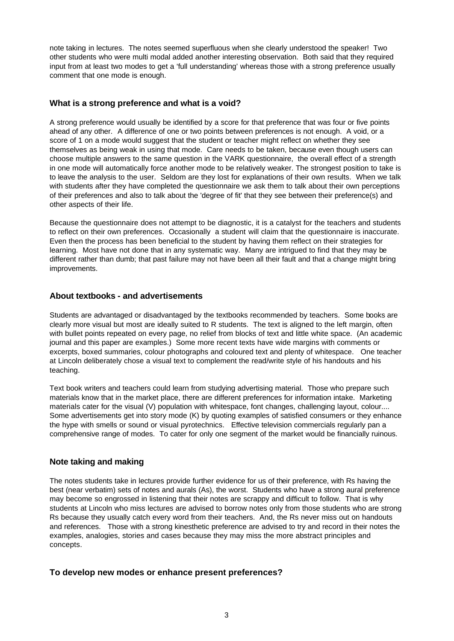note taking in lectures. The notes seemed superfluous when she clearly understood the speaker! Two other students who were multi modal added another interesting observation. Both said that they required input from at least two modes to get a 'full understanding' whereas those with a strong preference usually comment that one mode is enough.

## **What is a strong preference and what is a void?**

A strong preference would usually be identified by a score for that preference that was four or five points ahead of any other. A difference of one or two points between preferences is not enough. A void, or a score of 1 on a mode would suggest that the student or teacher might reflect on whether they see themselves as being weak in using that mode. Care needs to be taken, because even though users can choose multiple answers to the same question in the VARK questionnaire, the overall effect of a strength in one mode will automatically force another mode to be relatively weaker. The strongest position to take is to leave the analysis to the user. Seldom are they lost for explanations of their own results. When we talk with students after they have completed the questionnaire we ask them to talk about their own perceptions of their preferences and also to talk about the 'degree of fit' that they see between their preference(s) and other aspects of their life.

Because the questionnaire does not attempt to be diagnostic, it is a catalyst for the teachers and students to reflect on their own preferences. Occasionally a student will claim that the questionnaire is inaccurate. Even then the process has been beneficial to the student by having them reflect on their strategies for learning. Most have not done that in any systematic way. Many are intrigued to find that they may be different rather than dumb; that past failure may not have been all their fault and that a change might bring improvements.

## **About textbooks - and advertisements**

Students are advantaged or disadvantaged by the textbooks recommended by teachers. Some books are clearly more visual but most are ideally suited to R students. The text is aligned to the left margin, often with bullet points repeated on every page, no relief from blocks of text and little white space. (An academic journal and this paper are examples.) Some more recent texts have wide margins with comments or excerpts, boxed summaries, colour photographs and coloured text and plenty of whitespace. One teacher at Lincoln deliberately chose a visual text to complement the read/write style of his handouts and his teaching.

Text book writers and teachers could learn from studying advertising material. Those who prepare such materials know that in the market place, there are different preferences for information intake. Marketing materials cater for the visual (V) population with whitespace, font changes, challenging layout, colour.... Some advertisements get into story mode (K) by quoting examples of satisfied consumers or they enhance the hype with smells or sound or visual pyrotechnics. Effective television commercials regularly pan a comprehensive range of modes. To cater for only one segment of the market would be financially ruinous.

#### **Note taking and making**

The notes students take in lectures provide further evidence for us of their preference, with Rs having the best (near verbatim) sets of notes and aurals (As), the worst. Students who have a strong aural preference may become so engrossed in listening that their notes are scrappy and difficult to follow. That is why students at Lincoln who miss lectures are advised to borrow notes only from those students who are strong Rs because they usually catch every word from their teachers. And, the Rs never miss out on handouts and references. Those with a strong kinesthetic preference are advised to try and record in their notes the examples, analogies, stories and cases because they may miss the more abstract principles and concepts.

#### **To develop new modes or enhance present preferences?**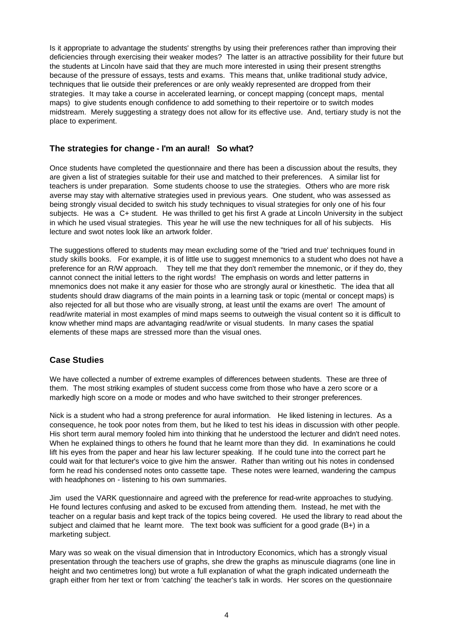Is it appropriate to advantage the students' strengths by using their preferences rather than improving their deficiencies through exercising their weaker modes? The latter is an attractive possibility for their future but the students at Lincoln have said that they are much more interested in using their present strengths because of the pressure of essays, tests and exams. This means that, unlike traditional study advice, techniques that lie outside their preferences or are only weakly represented are dropped from their strategies. It may take a course in accelerated learning, or concept mapping (concept maps, mental maps) to give students enough confidence to add something to their repertoire or to switch modes midstream. Merely suggesting a strategy does not allow for its effective use. And, tertiary study is not the place to experiment.

## **The strategies for change - I'm an aural! So what?**

Once students have completed the questionnaire and there has been a discussion about the results, they are given a list of strategies suitable for their use and matched to their preferences. A similar list for teachers is under preparation. Some students choose to use the strategies. Others who are more risk averse may stay with alternative strategies used in previous years. One student, who was assessed as being strongly visual decided to switch his study techniques to visual strategies for only one of his four subjects. He was a C+ student. He was thrilled to get his first A grade at Lincoln University in the subject in which he used visual strategies. This year he will use the new techniques for all of his subjects. His lecture and swot notes look like an artwork folder.

The suggestions offered to students may mean excluding some of the "tried and true' techniques found in study skills books. For example, it is of little use to suggest mnemonics to a student who does not have a preference for an R/W approach. They tell me that they don't remember the mnemonic, or if they do, they cannot connect the initial letters to the right words! The emphasis on words and letter patterns in mnemonics does not make it any easier for those who are strongly aural or kinesthetic. The idea that all students should draw diagrams of the main points in a learning task or topic (mental or concept maps) is also rejected for all but those who are visually strong, at least until the exams are over! The amount of read/write material in most examples of mind maps seems to outweigh the visual content so it is difficult to know whether mind maps are advantaging read/write or visual students. In many cases the spatial elements of these maps are stressed more than the visual ones.

## **Case Studies**

We have collected a number of extreme examples of differences between students. These are three of them. The most striking examples of student success come from those who have a zero score or a markedly high score on a mode or modes and who have switched to their stronger preferences.

Nick is a student who had a strong preference for aural information. He liked listening in lectures. As a consequence, he took poor notes from them, but he liked to test his ideas in discussion with other people. His short term aural memory fooled him into thinking that he understood the lecturer and didn't need notes. When he explained things to others he found that he learnt more than they did. In examinations he could lift his eyes from the paper and hear his law lecturer speaking. If he could tune into the correct part he could wait for that lecturer's voice to give him the answer. Rather than writing out his notes in condensed form he read his condensed notes onto cassette tape. These notes were learned, wandering the campus with headphones on - listening to his own summaries.

Jim used the VARK questionnaire and agreed with the preference for read-write approaches to studying. He found lectures confusing and asked to be excused from attending them. Instead, he met with the teacher on a regular basis and kept track of the topics being covered. He used the library to read about the subject and claimed that he learnt more. The text book was sufficient for a good grade (B+) in a marketing subject.

Mary was so weak on the visual dimension that in Introductory Economics, which has a strongly visual presentation through the teachers use of graphs, she drew the graphs as minuscule diagrams (one line in height and two centimetres long) but wrote a full explanation of what the graph indicated underneath the graph either from her text or from 'catching' the teacher's talk in words. Her scores on the questionnaire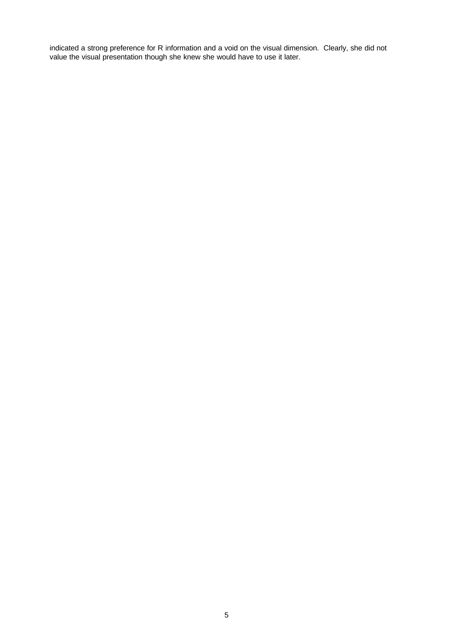indicated a strong preference for R information and a void on the visual dimension. Clearly, she did not value the visual presentation though she knew she would have to use it later.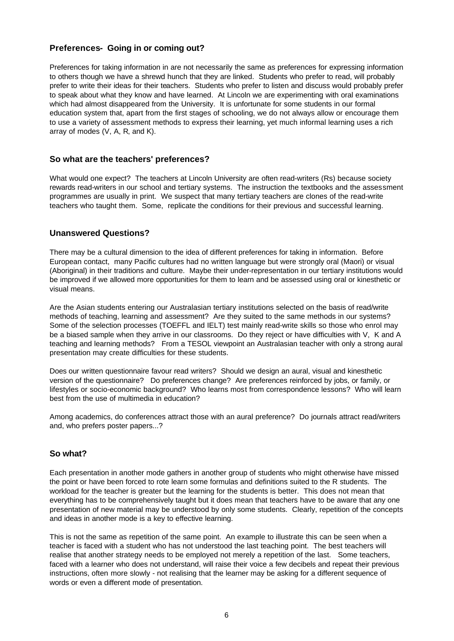## **Preferences- Going in or coming out?**

Preferences for taking information in are not necessarily the same as preferences for expressing information to others though we have a shrewd hunch that they are linked. Students who prefer to read, will probably prefer to write their ideas for their teachers. Students who prefer to listen and discuss would probably prefer to speak about what they know and have learned. At Lincoln we are experimenting with oral examinations which had almost disappeared from the University. It is unfortunate for some students in our formal education system that, apart from the first stages of schooling, we do not always allow or encourage them to use a variety of assessment methods to express their learning, yet much informal learning uses a rich array of modes (V, A, R, and K).

#### **So what are the teachers' preferences?**

What would one expect? The teachers at Lincoln University are often read-writers (Rs) because society rewards read-writers in our school and tertiary systems. The instruction the textbooks and the assessment programmes are usually in print. We suspect that many tertiary teachers are clones of the read-write teachers who taught them. Some, replicate the conditions for their previous and successful learning.

#### **Unanswered Questions?**

There may be a cultural dimension to the idea of different preferences for taking in information. Before European contact, many Pacific cultures had no written language but were strongly oral (Maori) or visual (Aboriginal) in their traditions and culture. Maybe their under-representation in our tertiary institutions would be improved if we allowed more opportunities for them to learn and be assessed using oral or kinesthetic or visual means.

Are the Asian students entering our Australasian tertiary institutions selected on the basis of read/write methods of teaching, learning and assessment? Are they suited to the same methods in our systems? Some of the selection processes (TOEFFL and IELT) test mainly read-write skills so those who enrol may be a biased sample when they arrive in our classrooms. Do they reject or have difficulties with V, K and A teaching and learning methods? From a TESOL viewpoint an Australasian teacher with only a strong aural presentation may create difficulties for these students.

Does our written questionnaire favour read writers? Should we design an aural, visual and kinesthetic version of the questionnaire? Do preferences change? Are preferences reinforced by jobs, or family, or lifestyles or socio-economic background? Who learns most from correspondence lessons? Who will learn best from the use of multimedia in education?

Among academics, do conferences attract those with an aural preference? Do journals attract read/writers and, who prefers poster papers...?

## **So what?**

Each presentation in another mode gathers in another group of students who might otherwise have missed the point or have been forced to rote learn some formulas and definitions suited to the R students. The workload for the teacher is greater but the learning for the students is better. This does not mean that everything has to be comprehensively taught but it does mean that teachers have to be aware that any one presentation of new material may be understood by only some students. Clearly, repetition of the concepts and ideas in another mode is a key to effective learning.

This is not the same as repetition of the same point. An example to illustrate this can be seen when a teacher is faced with a student who has not understood the last teaching point. The best teachers will realise that another strategy needs to be employed not merely a repetition of the last. Some teachers, faced with a learner who does not understand, will raise their voice a few decibels and repeat their previous instructions, often more slowly - not realising that the learner may be asking for a different sequence of words or even a different mode of presentation.